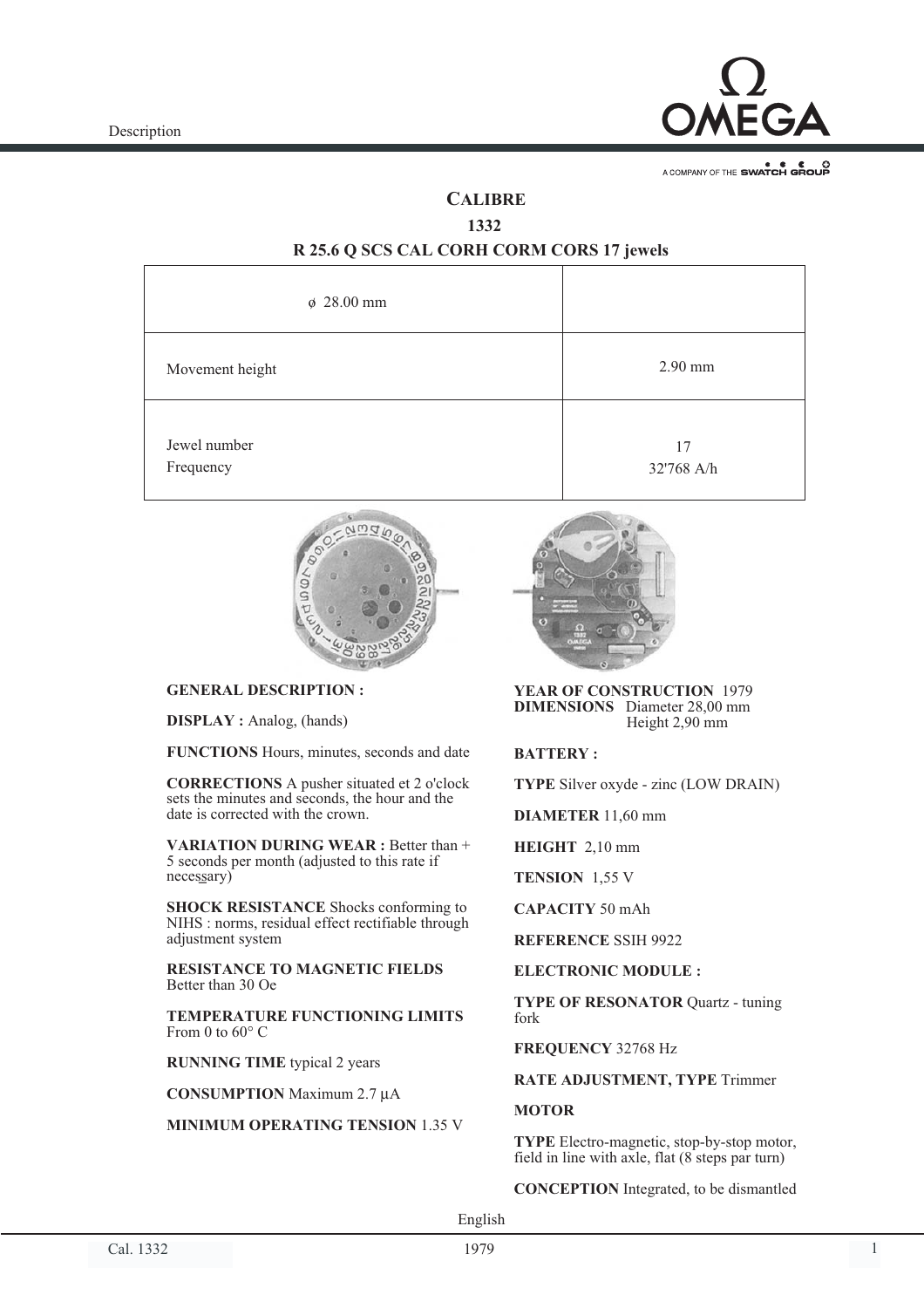

A COMPANY OF THE SWATCH GROUP

# **CALIBRE**

**1332**

## **R 25.6 Q SCS CAL CORH CORM CORS 17 jewels**

| $\phi$ 28.00 mm           |                  |
|---------------------------|------------------|
| Movement height           | $2.90$ mm        |
| Jewel number<br>Frequency | 17<br>32'768 A/h |



**GENERAL DESCRIPTION :**

**DISPLAY :** Analog, (hands)

**FUNCTIONS** Hours, minutes, seconds and date

**CORRECTIONS** A pusher situated et 2 o'clock sets the minutes and seconds, the hour and the date is corrected with the crown.

**VARIATION DURING WEAR :** Better than + 5 seconds per month (adjusted to this rate if necessary) **\_**

**SHOCK RESISTANCE** Shocks conforming to NIHS : norms, residual effect rectifiable through adjustment system

**RESISTANCE TO MAGNETIC FIELDS** Better than 30 Oe

**TEMPERATURE FUNCTIONING LIMITS** From 0 to 60° C

**RUNNING TIME** typical 2 years

**CONSUMPTION** Maximum 2.7 µA

**MINIMUM OPERATING TENSION** 1.35 V



**YEAR OF CONSTRUCTION** 1979 **DIMENSIONS** Diameter 28,00 mm Height 2,90 mm

## **BATTERY :**

**TYPE** Silver oxyde - zinc (LOW DRAIN)

**DIAMETER** 11,60 mm

**HEIGHT** 2,10 mm

**TENSION** 1,55 V

**CAPACITY** 50 mAh

**REFERENCE** SSIH 9922

**ELECTRONIC MODULE :**

**TYPE OF RESONATOR** Quartz - tuning fork

**FREQUENCY** 32768 Hz

### **RATE ADJUSTMENT, TYPE** Trimmer

**MOTOR**

**TYPE** Electro-magnetic, stop-by-stop motor, field in line with axle, flat  $(8 \text{ steps par turn})$ 

**CONCEPTION** Integrated, to be dismantled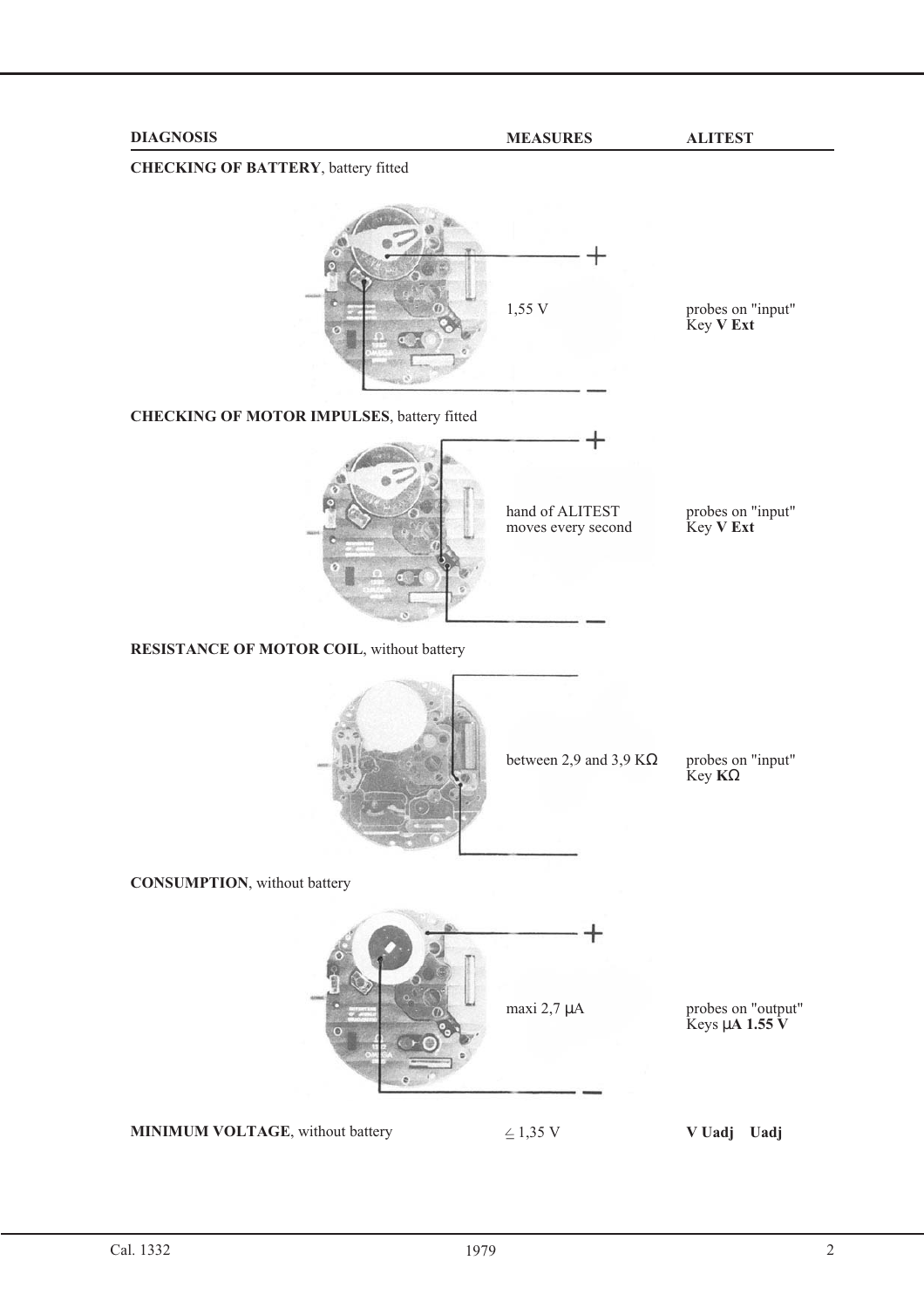## **CHECKING OF BATTERY**, battery fitted



probes on "input" Key **V Ext**

probes on "input" Key **V Ext**

## **CHECKING OF MOTOR IMPULSES**, battery fitted



## **RESISTANCE OF MOTOR COIL**, without battery



between 2,9 and 3,9 K $\Omega$ 

probes on "input" Key **K**Ω

**CONSUMPTION**, without battery

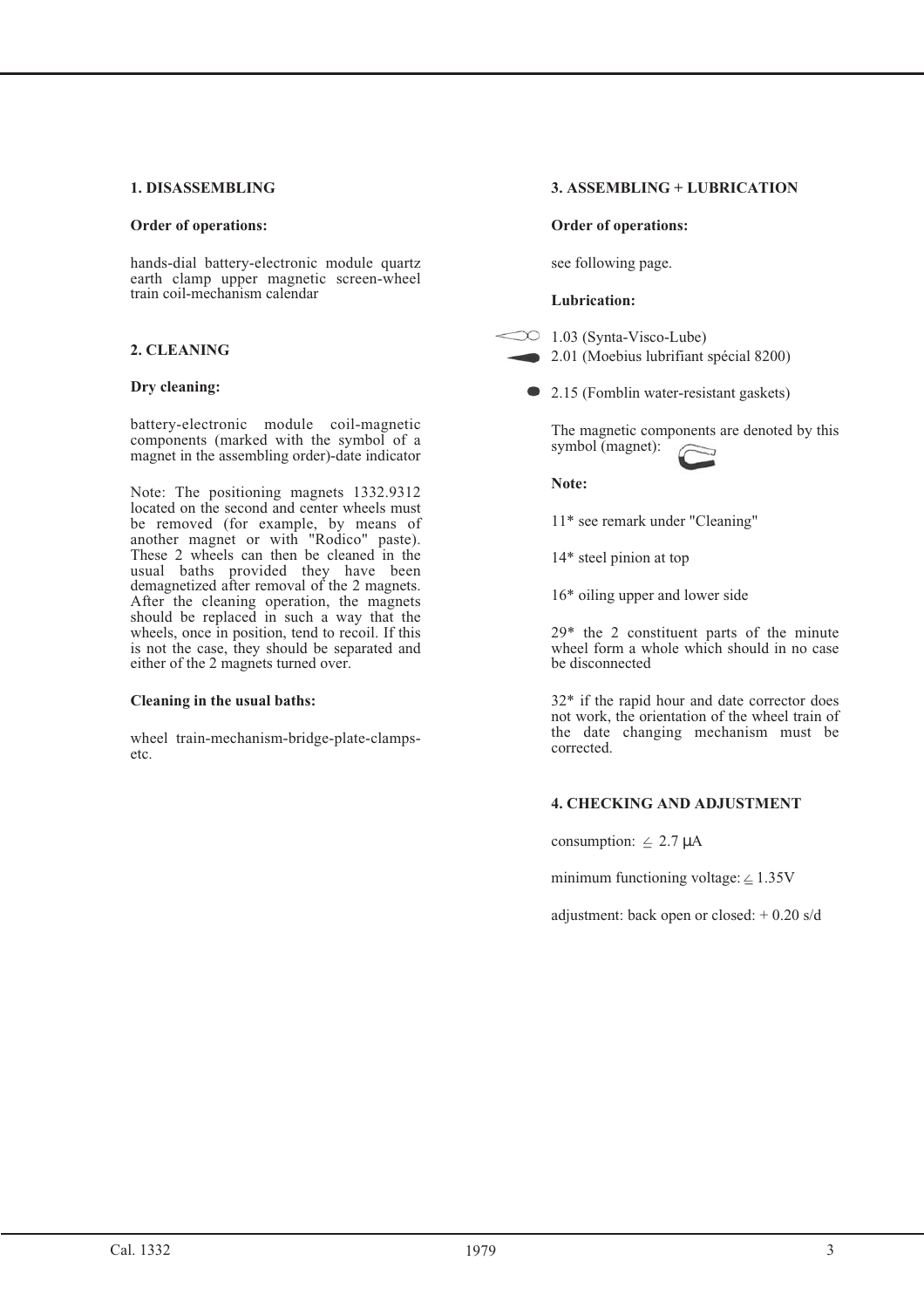### **1. DISASSEMBLING**

#### **Order of operations:**

hands-dial battery-electronic module quartz earth clamp upper magnetic screen-wheel train coil-mechanism calendar

## **2. CLEANING**

### **Dry cleaning:**

battery-electronic module coil-magnetic components (marked with the symbol of a magnet in the assembling order)-date indicator

Note: The positioning magnets 1332.9312 located on the second and center wheels must be removed (for example, by means of another magnet or with "Rodico" paste). These 2 wheels can then be cleaned in the usual baths provided they have been demagnetized after removal of the 2 magnets. After the cleaning operation, the magnets should be replaced in such a way that the wheels, once in position, tend to recoil. If this is not the case, they should be separated and either of the 2 magnets turned over.

#### **Cleaning in the usual baths:**

wheel train-mechanism-bridge-plate-clampsetc.

## **3. ASSEMBLING + LUBRICATION**

#### **Order of operations:**

see following page.

#### **Lubrication:**



 $\infty$  1.03 (Synta-Visco-Lube) 2.01 (Moebius lubrifiant spécial 8200)

• 2.15 (Fomblin water-resistant gaskets)

The magnetic components are denoted by this symbol (magnet):

**Note:**

11\* see remark under "Cleaning"

14\* steel pinion at top

16\* oiling upper and lower side

29\* the 2 constituent parts of the minute wheel form a whole which should in no case be disconnected

32\* if the rapid hour and date corrector does not work, the orientation of the wheel train of the date changing mechanism must be corrected.

## **4. CHECKING AND ADJUSTMENT**

consumption:  $\leq$  2.7  $\mu$ A

minimum functioning voltage:  $\leq 1.35V$ 

adjustment: back open or closed:  $+0.20$  s/d